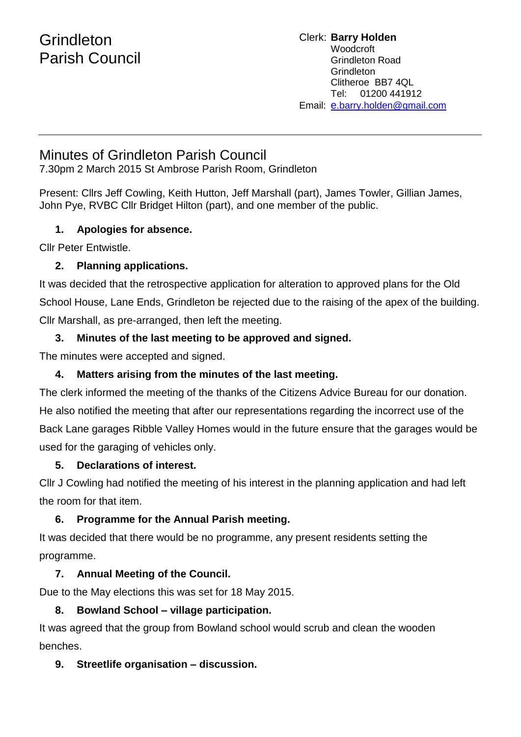# **Grindleton** Parish Council

Clerk: **Barry Holden** Woodcroft Grindleton Road Grindleton Clitheroe BB7 4QL Tel: 01200 441912 Email: [e](mailto:edwardbholden@yahoo.co.uk).barry.holden@gmail.com

## Minutes of Grindleton Parish Council

7.30pm 2 March 2015 St Ambrose Parish Room, Grindleton

Present: Cllrs Jeff Cowling, Keith Hutton, Jeff Marshall (part), James Towler, Gillian James, John Pye, RVBC Cllr Bridget Hilton (part), and one member of the public.

#### **1. Apologies for absence.**

Cllr Peter Entwistle.

## **2. Planning applications.**

It was decided that the retrospective application for alteration to approved plans for the Old School House, Lane Ends, Grindleton be rejected due to the raising of the apex of the building. Cllr Marshall, as pre-arranged, then left the meeting.

## **3. Minutes of the last meeting to be approved and signed.**

The minutes were accepted and signed.

## **4. Matters arising from the minutes of the last meeting.**

The clerk informed the meeting of the thanks of the Citizens Advice Bureau for our donation. He also notified the meeting that after our representations regarding the incorrect use of the Back Lane garages Ribble Valley Homes would in the future ensure that the garages would be used for the garaging of vehicles only.

## **5. Declarations of interest.**

Cllr J Cowling had notified the meeting of his interest in the planning application and had left the room for that item.

## **6. Programme for the Annual Parish meeting.**

It was decided that there would be no programme, any present residents setting the programme.

## **7. Annual Meeting of the Council.**

Due to the May elections this was set for 18 May 2015.

## **8. Bowland School – village participation.**

It was agreed that the group from Bowland school would scrub and clean the wooden benches.

#### **9. Streetlife organisation – discussion.**